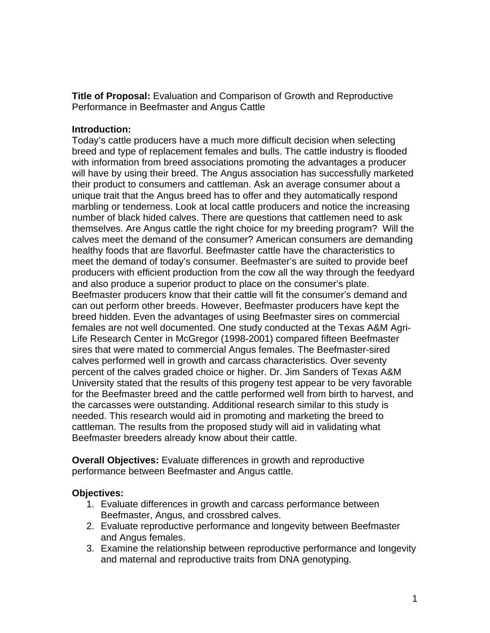**Title of Proposal:** Evaluation and Comparison of Growth and Reproductive Performance in Beefmaster and Angus Cattle

## **Introduction:**

Today's cattle producers have a much more difficult decision when selecting breed and type of replacement females and bulls. The cattle industry is flooded with information from breed associations promoting the advantages a producer will have by using their breed. The Angus association has successfully marketed their product to consumers and cattleman. Ask an average consumer about a unique trait that the Angus breed has to offer and they automatically respond marbling or tenderness. Look at local cattle producers and notice the increasing number of black hided calves. There are questions that cattlemen need to ask themselves. Are Angus cattle the right choice for my breeding program? Will the calves meet the demand of the consumer? American consumers are demanding healthy foods that are flavorful. Beefmaster cattle have the characteristics to meet the demand of today's consumer. Beefmaster's are suited to provide beef producers with efficient production from the cow all the way through the feedyard and also produce a superior product to place on the consumer's plate. Beefmaster producers know that their cattle will fit the consumer's demand and can out perform other breeds. However, Beefmaster producers have kept the breed hidden. Even the advantages of using Beefmaster sires on commercial females are not well documented. One study conducted at the Texas A&M Agri-Life Research Center in McGregor (1998-2001) compared fifteen Beefmaster sires that were mated to commercial Angus females. The Beefmaster-sired calves performed well in growth and carcass characteristics. Over seventy percent of the calves graded choice or higher. Dr. Jim Sanders of Texas A&M University stated that the results of this progeny test appear to be very favorable for the Beefmaster breed and the cattle performed well from birth to harvest, and the carcasses were outstanding. Additional research similar to this study is needed. This research would aid in promoting and marketing the breed to cattleman. The results from the proposed study will aid in validating what Beefmaster breeders already know about their cattle.

**Overall Objectives:** Evaluate differences in growth and reproductive performance between Beefmaster and Angus cattle.

## **Objectives:**

- 1. Evaluate differences in growth and carcass performance between Beefmaster, Angus, and crossbred calves.
- 2. Evaluate reproductive performance and longevity between Beefmaster and Angus females.
- 3. Examine the relationship between reproductive performance and longevity and maternal and reproductive traits from DNA genotyping.